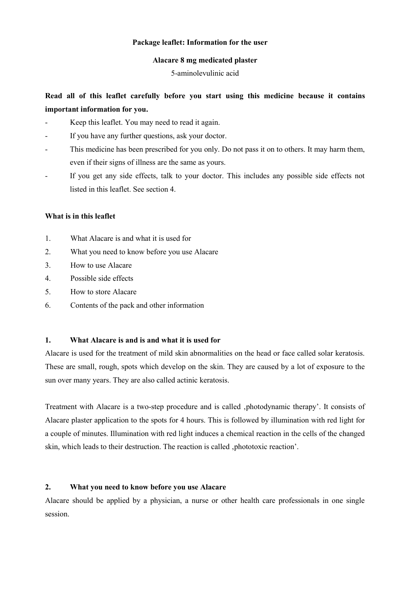### **Package leaflet: Information for the user**

### **Alacare 8 mg medicated plaster**

### 5-aminolevulinic acid

# **Read all of this leaflet carefully before you start using this medicine because it contains important information for you.**

- Keep this leaflet. You may need to read it again.
- If you have any further questions, ask your doctor.
- This medicine has been prescribed for you only. Do not pass it on to others. It may harm them, even if their signs of illness are the same as yours.
- If you get any side effects, talk to your doctor. This includes any possible side effects not listed in this leaflet. See section 4.

### **What is in this leaflet**

- 1. What Alacare is and what it is used for
- 2. What you need to know before you use Alacare
- 3. How to use Alacare
- 4. Possible side effects
- 5. How to store Alacare
- 6. Contents of the pack and other information

### **1. What Alacare is and is and what it is used for**

Alacare is used for the treatment of mild skin abnormalities on the head or face called solar keratosis. These are small, rough, spots which develop on the skin. They are caused by a lot of exposure to the sun over many years. They are also called actinic keratosis.

Treatment with Alacare is a two-step procedure and is called ,photodynamic therapy'. It consists of Alacare plaster application to the spots for 4 hours. This is followed by illumination with red light for a couple of minutes. Illumination with red light induces a chemical reaction in the cells of the changed skin, which leads to their destruction. The reaction is called , phototoxic reaction'.

#### **2. What you need to know before you use Alacare**

Alacare should be applied by a physician, a nurse or other health care professionals in one single session.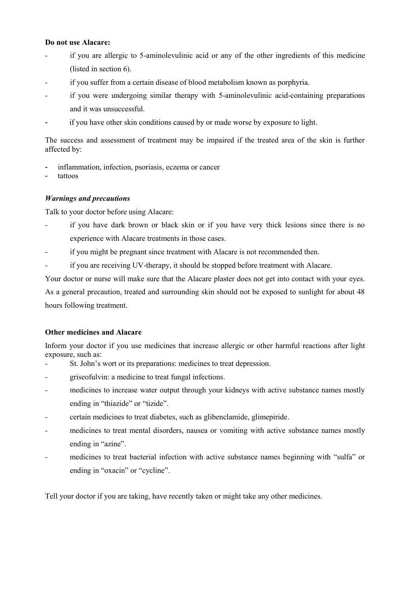# **Do not use Alacare:**

- if you are allergic to 5-aminolevulinic acid or any of the other ingredients of this medicine (listed in section 6).
- if you suffer from a certain disease of blood metabolism known as porphyria.
- if you were undergoing similar therapy with 5-aminolevulinic acid-containing preparations and it was unsuccessful.
- if you have other skin conditions caused by or made worse by exposure to light.

The success and assessment of treatment may be impaired if the treated area of the skin is further affected by:

- inflammation, infection, psoriasis, eczema or cancer
- tattoos

# *Warnings and precautions*

Talk to your doctor before using Alacare:

- if you have dark brown or black skin or if you have very thick lesions since there is no experience with Alacare treatments in those cases.
- if you might be pregnant since treatment with Alacare is not recommended then.
- if you are receiving UV-therapy, it should be stopped before treatment with Alacare.

Your doctor or nurse will make sure that the Alacare plaster does not get into contact with your eyes. As a general precaution, treated and surrounding skin should not be exposed to sunlight for about 48 hours following treatment.

# **Other medicines and Alacare**

Inform your doctor if you use medicines that increase allergic or other harmful reactions after light exposure, such as:

- St. John's wort or its preparations: medicines to treat depression.
- griseofulvin: a medicine to treat fungal infections.
- medicines to increase water output through your kidneys with active substance names mostly ending in "thiazide" or "tizide".
- certain medicines to treat diabetes, such as glibenclamide, glimepiride.
- medicines to treat mental disorders, nausea or vomiting with active substance names mostly ending in "azine".
- medicines to treat bacterial infection with active substance names beginning with "sulfa" or ending in "oxacin" or "cycline".

Tell your doctor if you are taking, have recently taken or might take any other medicines.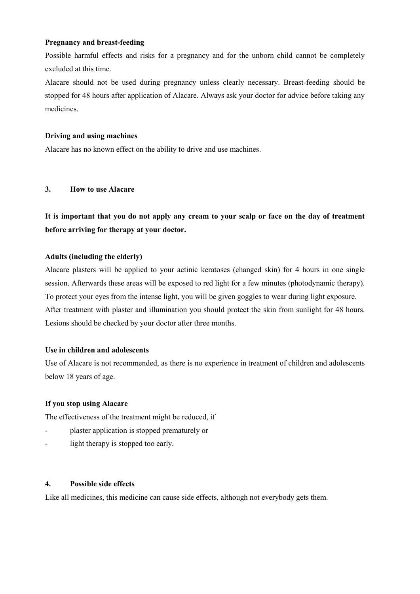# **Pregnancy and breast-feeding**

Possible harmful effects and risks for a pregnancy and for the unborn child cannot be completely excluded at this time.

Alacare should not be used during pregnancy unless clearly necessary. Breast-feeding should be stopped for 48 hours after application of Alacare. Always ask your doctor for advice before taking any medicines.

### **Driving and using machines**

Alacare has no known effect on the ability to drive and use machines.

### **3. How to use Alacare**

**It is important that you do not apply any cream to your scalp or face on the day of treatment before arriving for therapy at your doctor.**

### **Adults (including the elderly)**

Alacare plasters will be applied to your actinic keratoses (changed skin) for 4 hours in one single session. Afterwards these areas will be exposed to red light for a few minutes (photodynamic therapy). To protect your eyes from the intense light, you will be given goggles to wear during light exposure. After treatment with plaster and illumination you should protect the skin from sunlight for 48 hours. Lesions should be checked by your doctor after three months.

#### **Use in children and adolescents**

Use of Alacare is not recommended, as there is no experience in treatment of children and adolescents below 18 years of age.

#### **If you stop using Alacare**

The effectiveness of the treatment might be reduced, if

- plaster application is stopped prematurely or
- light therapy is stopped too early.

# **4. Possible side effects**

Like all medicines, this medicine can cause side effects, although not everybody gets them.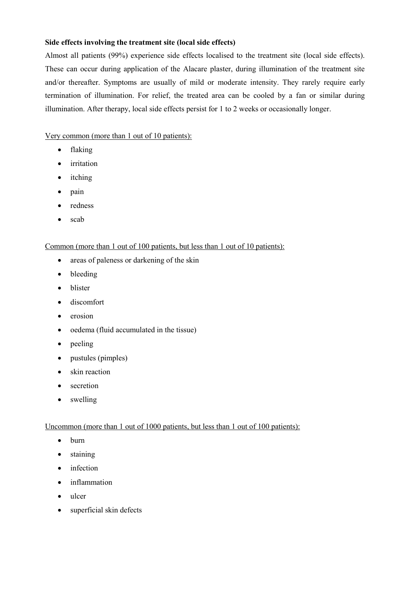# **Side effects involving the treatment site (local side effects)**

Almost all patients (99%) experience side effects localised to the treatment site (local side effects). These can occur during application of the Alacare plaster, during illumination of the treatment site and/or thereafter. Symptoms are usually of mild or moderate intensity. They rarely require early termination of illumination. For relief, the treated area can be cooled by a fan or similar during illumination. After therapy, local side effects persist for 1 to 2 weeks or occasionally longer.

Very common (more than 1 out of 10 patients):

- flaking
- irritation
- itching
- pain
- redness
- scab

### Common (more than 1 out of 100 patients, but less than 1 out of 10 patients):

- areas of paleness or darkening of the skin
- bleeding
- blister
- discomfort
- erosion
- oedema (fluid accumulated in the tissue)
- $\bullet$  peeling
- pustules (pimples)
- skin reaction
- secretion
- swelling

### Uncommon (more than 1 out of 1000 patients, but less than 1 out of 100 patients):

- burn
- staining
- infection
- inflammation
- ulcer
- superficial skin defects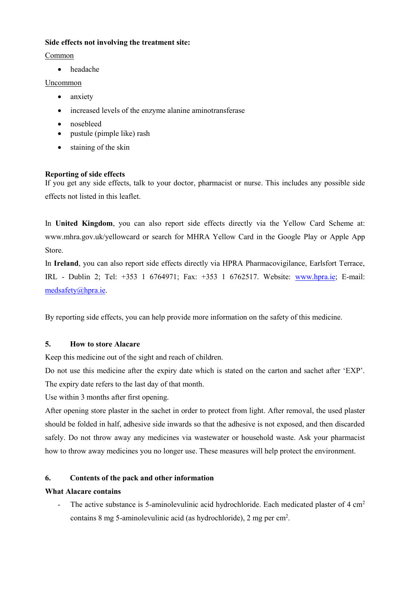# **Side effects not involving the treatment site:**

Common

headache

# Uncommon

- anxiety
- increased levels of the enzyme alanine aminotransferase
- nosebleed
- pustule (pimple like) rash
- staining of the skin

# **Reporting of side effects**

If you get any side effects, talk to your doctor, pharmacist or nurse. This includes any possible side effects not listed in this leaflet.

In **United Kingdom**, you can also report side effects directly via the Yellow Card Scheme at: www.mhra.gov.uk/yellowcard or search for MHRA Yellow Card in the Google Play or Apple App Store.

In **Ireland**, you can also report side effects directly via HPRA Pharmacovigilance, Earlsfort Terrace, IRL - Dublin 2; Tel: +353 1 6764971; Fax: +353 1 6762517. Website: [www.hpra.ie;](http://www.hpra.ie/) E-mail: [medsafety@hpra.ie.](mailto:medsafety@hpra.ie)

By reporting side effects, you can help provide more information on the safety of this medicine.

# **5. How to store Alacare**

Keep this medicine out of the sight and reach of children.

Do not use this medicine after the expiry date which is stated on the carton and sachet after 'EXP'. The expiry date refers to the last day of that month.

Use within 3 months after first opening.

After opening store plaster in the sachet in order to protect from light. After removal, the used plaster should be folded in half, adhesive side inwards so that the adhesive is not exposed, and then discarded safely. Do not throw away any medicines via wastewater or household waste. Ask your pharmacist how to throw away medicines you no longer use. These measures will help protect the environment.

# **6. Contents of the pack and other information**

# **What Alacare contains**

- The active substance is 5-aminolevulinic acid hydrochloride. Each medicated plaster of 4 cm<sup>2</sup> contains 8 mg 5-aminolevulinic acid (as hydrochloride), 2 mg per cm<sup>2</sup>.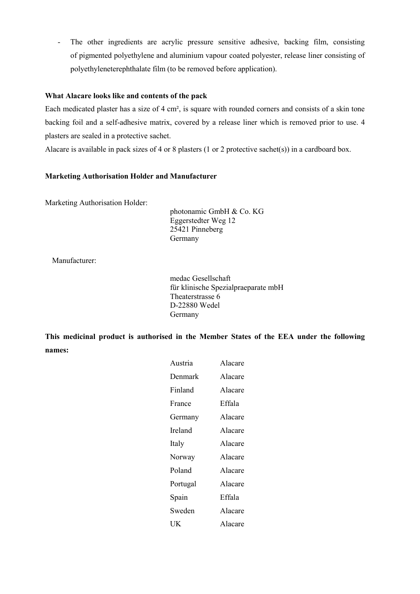- The other ingredients are acrylic pressure sensitive adhesive, backing film, consisting of pigmented polyethylene and aluminium vapour coated polyester, release liner consisting of polyethyleneterephthalate film (to be removed before application).

# **What Alacare looks like and contents of the pack**

Each medicated plaster has a size of 4 cm², is square with rounded corners and consists of a skin tone backing foil and a self-adhesive matrix, covered by a release liner which is removed prior to use. 4 plasters are sealed in a protective sachet.

Alacare is available in pack sizes of 4 or 8 plasters (1 or 2 protective sachet(s)) in a cardboard box.

# **Marketing Authorisation Holder and Manufacturer**

Marketing Authorisation Holder:

photonamic GmbH & Co. KG Eggerstedter Weg 12 25421 Pinneberg Germany

Manufacturer:

medac Gesellschaft für klinische Spezialpraeparate mbH Theaterstrasse 6 D-22880 Wedel Germany

**This medicinal product is authorised in the Member States of the EEA under the following names:**

| Austria  | Alacare |
|----------|---------|
| Denmark  | Alacare |
| Finland  | Alacare |
| France   | Effala  |
| Germany  | Alacare |
| Ireland  | Alacare |
| Italy    | Alacare |
| Norway   | Alacare |
| Poland   | Alacare |
| Portugal | Alacare |
| Spain    | Effala  |
| Sweden   | Alacare |
| UK       | Alacare |